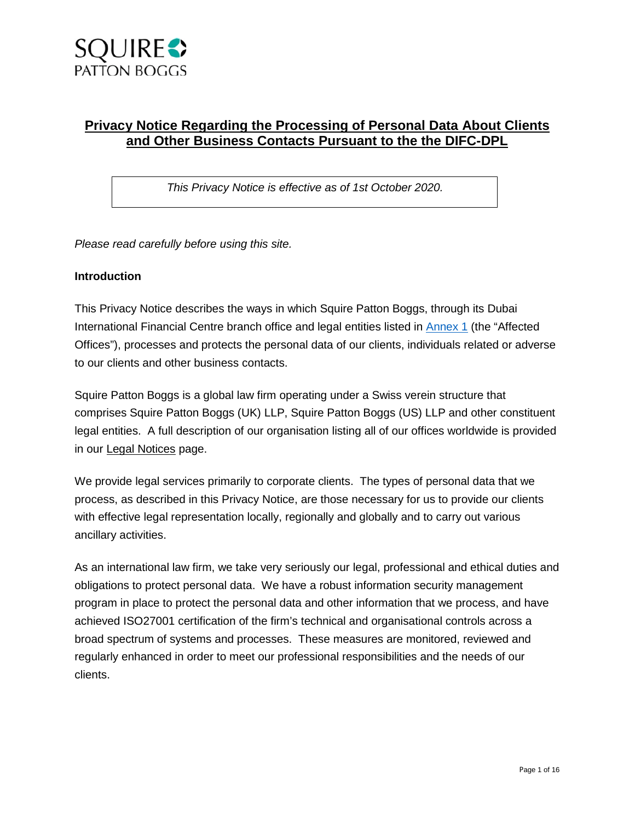

# **Privacy Notice Regarding the Processing of Personal Data About Clients and Other Business Contacts Pursuant to the the DIFC-DPL**

*This Privacy Notice is effective as of 1st October 2020.* 

*Please read carefully before using this site.* 

#### **Introduction**

This Privacy Notice describes the ways in which Squire Patton Boggs, through its Dubai International Financial Centre branch office and legal entities listed in [Annex 1](#page-14-0) (the "Affected Offices"), processes and protects the personal data of our clients, individuals related or adverse to our clients and other business contacts.

Squire Patton Boggs is a global law firm operating under a Swiss verein structure that comprises Squire Patton Boggs (UK) LLP, Squire Patton Boggs (US) LLP and other constituent legal entities. A full description of our organisation listing all of our offices worldwide is provided in our [Legal Notices](https://squirepattonboggs-admin.onistaged.com/en/footer/legal-notices) page.

We provide legal services primarily to corporate clients. The types of personal data that we process, as described in this Privacy Notice, are those necessary for us to provide our clients with effective legal representation locally, regionally and globally and to carry out various ancillary activities.

As an international law firm, we take very seriously our legal, professional and ethical duties and obligations to protect personal data. We have a robust information security management program in place to protect the personal data and other information that we process, and have achieved ISO27001 certification of the firm's technical and organisational controls across a broad spectrum of systems and processes. These measures are monitored, reviewed and regularly enhanced in order to meet our professional responsibilities and the needs of our clients.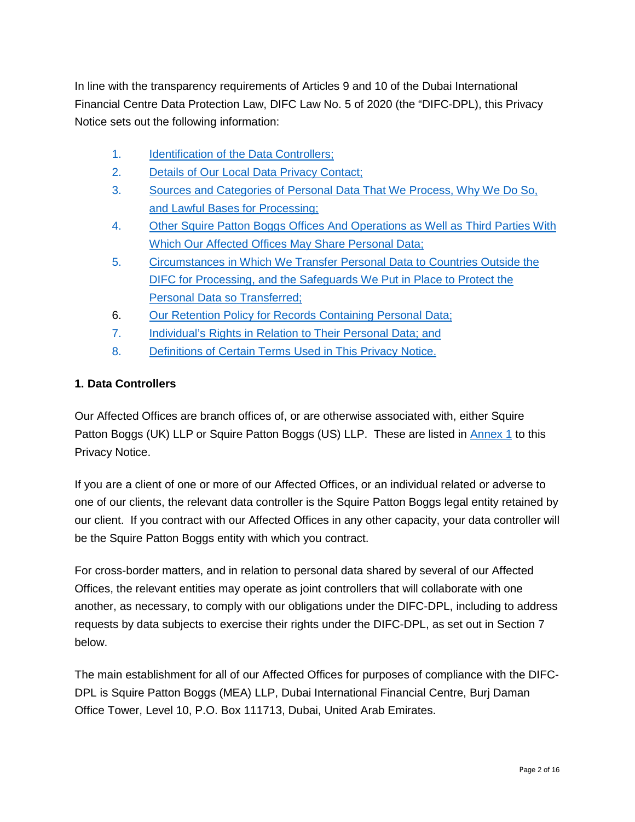In line with the transparency requirements of Articles 9 and 10 of the Dubai International Financial Centre Data Protection Law, DIFC Law No. 5 of 2020 (the "DIFC-DPL), this Privacy Notice sets out the following information:

- [1. Identification of the Data Controllers;](#page-1-0)
- <span id="page-1-2"></span>2. [Details of Our Local Data Privacy Contact;](#page-2-0)
- <span id="page-1-4"></span>3. [Sources and Categories of Personal Data That We Process, Why We Do So,](#page-2-1)  [and Lawful Bases for Processing;](#page-2-1)
- <span id="page-1-3"></span>4. [Other Squire Patton Boggs Offices And Operations as Well as Third Parties With](#page-8-0)  [Which Our Affected Offices May Share Personal Data;](#page-8-0)
- 5. [Circumstances in Which We Transfer Personal Data to Countries Outside the](#page-10-0)  DIFC for Processing, and the Safeguards We Put in Place to Protect the [Personal Data so Transferred;](#page-10-0)
- 6. [Our Retention Policy for Records Containing Personal Data;](#page-10-1)
- <span id="page-1-1"></span>[7. Individual's Rights in Relation to Their Personal Data; and](#page-11-0)
- 8. [Definitions of Certain Terms Used in This Privacy Notice.](#page-13-0)

#### <span id="page-1-0"></span>**1. Data Controllers**

Our Affected Offices are branch offices of, or are otherwise associated with, either Squire Patton Boggs (UK) LLP or Squire Patton Boggs (US) LLP. These are listed in [Annex 1](#page-14-0) to this Privacy Notice.

If you are a client of one or more of our Affected Offices, or an individual related or adverse to one of our clients, the relevant data controller is the Squire Patton Boggs legal entity retained by our client. If you contract with our Affected Offices in any other capacity, your data controller will be the Squire Patton Boggs entity with which you contract.

For cross-border matters, and in relation to personal data shared by several of our Affected Offices, the relevant entities may operate as joint controllers that will collaborate with one another, as necessary, to comply with our obligations under the DIFC-DPL, including to address requests by data subjects to exercise their rights under the DIFC-DPL, as set out in Section 7 below.

The main establishment for all of our Affected Offices for purposes of compliance with the DIFC-DPL is Squire Patton Boggs (MEA) LLP, Dubai International Financial Centre, Burj Daman Office Tower, Level 10, P.O. Box 111713, Dubai, United Arab Emirates.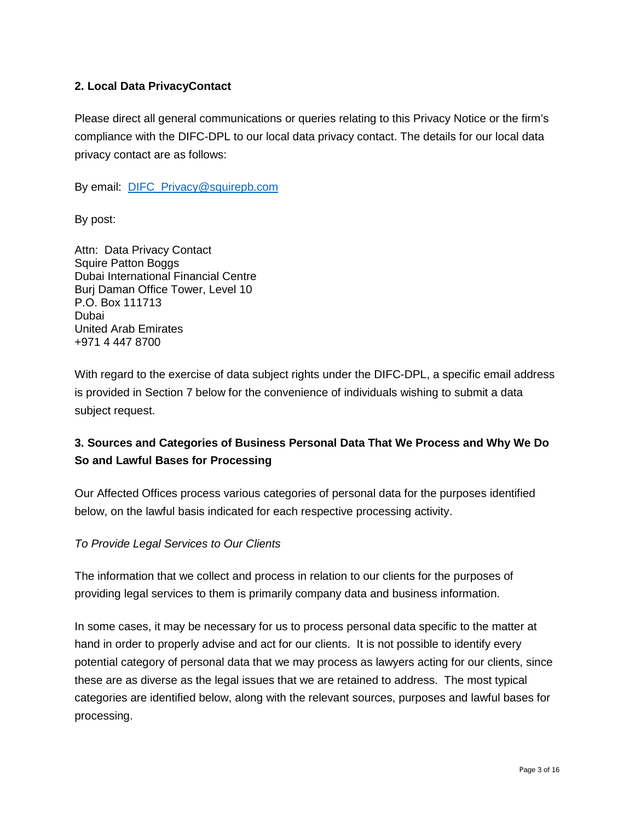## <span id="page-2-0"></span>**2. Local Data PrivacyContact**

Please direct all general communications or queries relating to this Privacy Notice or the firm's compliance with the DIFC-DPL to our local data privacy contact. The details for our local data privacy contact are as follows:

By email: [DIFC\\_Privacy@squirepb.com](mailto:DIFC_Privacy@squirepb.com) 

By post:

Attn: Data Privacy Contact Squire Patton Boggs Dubai International Financial Centre Burj Daman Office Tower, Level 10 P.O. Box 111713 Dubai United Arab Emirates +971 4 447 8700

With regard to the exercise of data subject rights under the DIFC-DPL, a specific email address is provided in Section [7](#page-1-1) below for the convenience of individuals wishing to submit a data subject request.

# <span id="page-2-1"></span>**3. Sources and Categories of Business Personal Data That We Process and Why We Do So and Lawful Bases for Processing**

Our Affected Offices process various categories of personal data for the purposes identified below, on the lawful basis indicated for each respective processing activity.

*To Provide Legal Services to Our Clients*

The information that we collect and process in relation to our clients for the purposes of providing legal services to them is primarily company data and business information.

In some cases, it may be necessary for us to process personal data specific to the matter at hand in order to properly advise and act for our clients. It is not possible to identify every potential category of personal data that we may process as lawyers acting for our clients, since these are as diverse as the legal issues that we are retained to address. The most typical categories are identified below, along with the relevant sources, purposes and lawful bases for processing.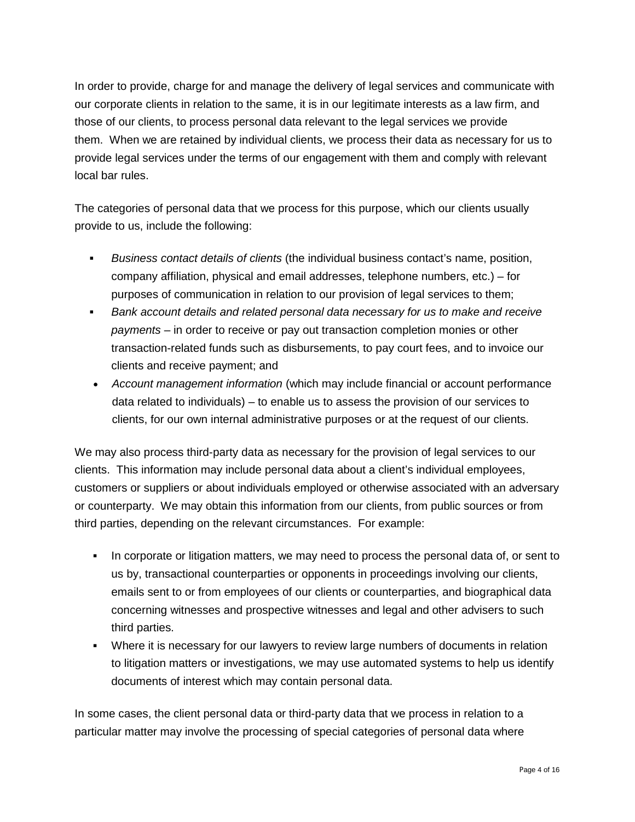In order to provide, charge for and manage the delivery of legal services and communicate with our corporate clients in relation to the same, it is in our legitimate interests as a law firm, and those of our clients, to process personal data relevant to the legal services we provide them. When we are retained by individual clients, we process their data as necessary for us to provide legal services under the terms of our engagement with them and comply with relevant local bar rules.

The categories of personal data that we process for this purpose, which our clients usually provide to us, include the following:

- *Business contact details of clients* (the individual business contact's name, position, company affiliation, physical and email addresses, telephone numbers, etc.) – for purposes of communication in relation to our provision of legal services to them;
- *Bank account details and related personal data necessary for us to make and receive payments* – in order to receive or pay out transaction completion monies or other transaction-related funds such as disbursements, to pay court fees, and to invoice our clients and receive payment; and
- *Account management information* (which may include financial or account performance data related to individuals) – to enable us to assess the provision of our services to clients, for our own internal administrative purposes or at the request of our clients.

We may also process third-party data as necessary for the provision of legal services to our clients. This information may include personal data about a client's individual employees, customers or suppliers or about individuals employed or otherwise associated with an adversary or counterparty. We may obtain this information from our clients, from public sources or from third parties, depending on the relevant circumstances. For example:

- In corporate or litigation matters, we may need to process the personal data of, or sent to us by, transactional counterparties or opponents in proceedings involving our clients, emails sent to or from employees of our clients or counterparties, and biographical data concerning witnesses and prospective witnesses and legal and other advisers to such third parties.
- Where it is necessary for our lawyers to review large numbers of documents in relation to litigation matters or investigations, we may use automated systems to help us identify documents of interest which may contain personal data.

In some cases, the client personal data or third-party data that we process in relation to a particular matter may involve the processing of special categories of personal data where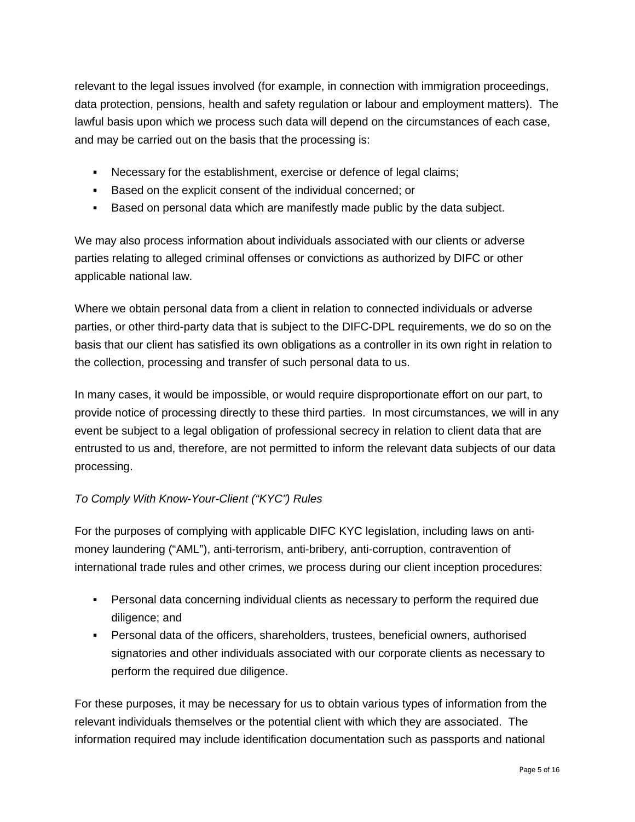relevant to the legal issues involved (for example, in connection with immigration proceedings, data protection, pensions, health and safety regulation or labour and employment matters). The lawful basis upon which we process such data will depend on the circumstances of each case, and may be carried out on the basis that the processing is:

- Necessary for the establishment, exercise or defence of legal claims;
- Based on the explicit consent of the individual concerned; or
- Based on personal data which are manifestly made public by the data subject.

We may also process information about individuals associated with our clients or adverse parties relating to alleged criminal offenses or convictions as authorized by DIFC or other applicable national law.

Where we obtain personal data from a client in relation to connected individuals or adverse parties, or other third-party data that is subject to the DIFC-DPL requirements, we do so on the basis that our client has satisfied its own obligations as a controller in its own right in relation to the collection, processing and transfer of such personal data to us.

In many cases, it would be impossible, or would require disproportionate effort on our part, to provide notice of processing directly to these third parties. In most circumstances, we will in any event be subject to a legal obligation of professional secrecy in relation to client data that are entrusted to us and, therefore, are not permitted to inform the relevant data subjects of our data processing.

# *To Comply With Know-Your-Client ("KYC") Rules*

For the purposes of complying with applicable DIFC KYC legislation, including laws on antimoney laundering ("AML"), anti-terrorism, anti-bribery, anti-corruption, contravention of international trade rules and other crimes, we process during our client inception procedures:

- Personal data concerning individual clients as necessary to perform the required due diligence; and
- Personal data of the officers, shareholders, trustees, beneficial owners, authorised signatories and other individuals associated with our corporate clients as necessary to perform the required due diligence.

For these purposes, it may be necessary for us to obtain various types of information from the relevant individuals themselves or the potential client with which they are associated. The information required may include identification documentation such as passports and national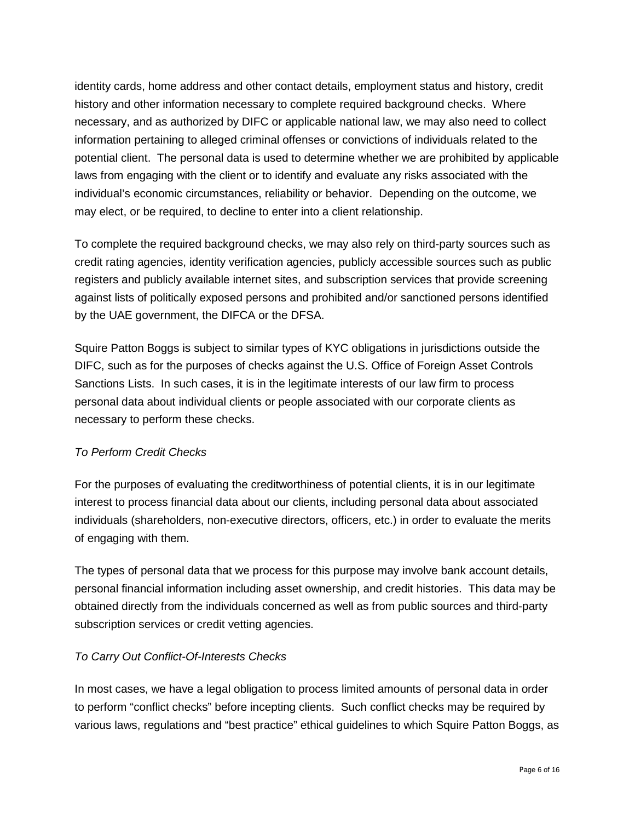identity cards, home address and other contact details, employment status and history, credit history and other information necessary to complete required background checks. Where necessary, and as authorized by DIFC or applicable national law, we may also need to collect information pertaining to alleged criminal offenses or convictions of individuals related to the potential client. The personal data is used to determine whether we are prohibited by applicable laws from engaging with the client or to identify and evaluate any risks associated with the individual's economic circumstances, reliability or behavior. Depending on the outcome, we may elect, or be required, to decline to enter into a client relationship.

To complete the required background checks, we may also rely on third-party sources such as credit rating agencies, identity verification agencies, publicly accessible sources such as public registers and publicly available internet sites, and subscription services that provide screening against lists of politically exposed persons and prohibited and/or sanctioned persons identified by the UAE government, the DIFCA or the DFSA.

Squire Patton Boggs is subject to similar types of KYC obligations in jurisdictions outside the DIFC, such as for the purposes of checks against the U.S. Office of Foreign Asset Controls Sanctions Lists. In such cases, it is in the legitimate interests of our law firm to process personal data about individual clients or people associated with our corporate clients as necessary to perform these checks.

# *To Perform Credit Checks*

For the purposes of evaluating the creditworthiness of potential clients, it is in our legitimate interest to process financial data about our clients, including personal data about associated individuals (shareholders, non-executive directors, officers, etc.) in order to evaluate the merits of engaging with them.

The types of personal data that we process for this purpose may involve bank account details, personal financial information including asset ownership, and credit histories. This data may be obtained directly from the individuals concerned as well as from public sources and third-party subscription services or credit vetting agencies.

# *To Carry Out Conflict-Of-Interests Checks*

In most cases, we have a legal obligation to process limited amounts of personal data in order to perform "conflict checks" before incepting clients. Such conflict checks may be required by various laws, regulations and "best practice" ethical guidelines to which Squire Patton Boggs, as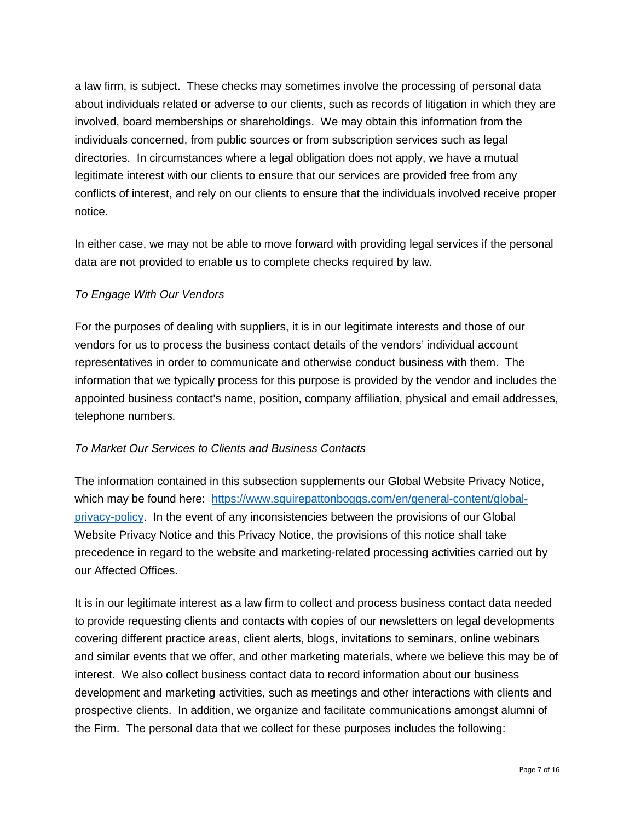a law firm, is subject. These checks may sometimes involve the processing of personal data about individuals related or adverse to our clients, such as records of litigation in which they are involved, board memberships or shareholdings. We may obtain this information from the individuals concerned, from public sources or from subscription services such as legal directories. In circumstances where a legal obligation does not apply, we have a mutual legitimate interest with our clients to ensure that our services are provided free from any conflicts of interest, and rely on our clients to ensure that the individuals involved receive proper notice.

In either case, we may not be able to move forward with providing legal services if the personal data are not provided to enable us to complete checks required by law.

## *To Engage With Our Vendors*

For the purposes of dealing with suppliers, it is in our legitimate interests and those of our vendors for us to process the business contact details of the vendors' individual account representatives in order to communicate and otherwise conduct business with them. The information that we typically process for this purpose is provided by the vendor and includes the appointed business contact's name, position, company affiliation, physical and email addresses, telephone numbers.

#### *To Market Our Services to Clients and Business Contacts*

The information contained in this subsection supplements our Global Website Privacy Notice, which may be found here: [https://www.squirepattonboggs.com/en/general-content/global](https://www.squirepattonboggs.com/en/general-content/global-privacy-policy)[privacy-policy.](https://www.squirepattonboggs.com/en/general-content/global-privacy-policy) In the event of any inconsistencies between the provisions of our Global Website Privacy Notice and this Privacy Notice, the provisions of this notice shall take precedence in regard to the website and marketing-related processing activities carried out by our Affected Offices.

It is in our legitimate interest as a law firm to collect and process business contact data needed to provide requesting clients and contacts with copies of our newsletters on legal developments covering different practice areas, client alerts, blogs, invitations to seminars, online webinars and similar events that we offer, and other marketing materials, where we believe this may be of interest. We also collect business contact data to record information about our business development and marketing activities, such as meetings and other interactions with clients and prospective clients. In addition, we organize and facilitate communications amongst alumni of the Firm. The personal data that we collect for these purposes includes the following: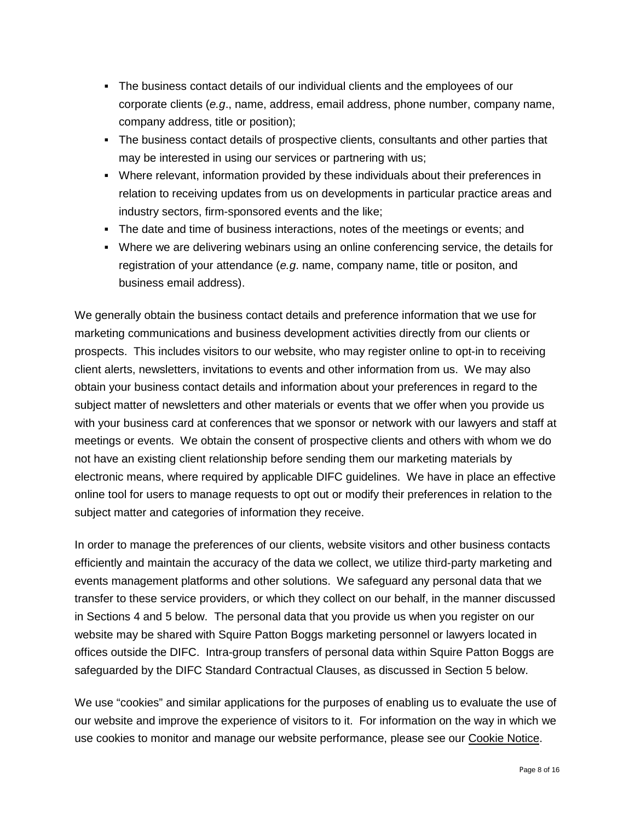- The business contact details of our individual clients and the employees of our corporate clients (*e.g*., name, address, email address, phone number, company name, company address, title or position);
- The business contact details of prospective clients, consultants and other parties that may be interested in using our services or partnering with us;
- Where relevant, information provided by these individuals about their preferences in relation to receiving updates from us on developments in particular practice areas and industry sectors, firm-sponsored events and the like;
- The date and time of business interactions, notes of the meetings or events; and
- Where we are delivering webinars using an online conferencing service, the details for registration of your attendance (*e.g*. name, company name, title or positon, and business email address).

We generally obtain the business contact details and preference information that we use for marketing communications and business development activities directly from our clients or prospects. This includes visitors to our website, who may register online to opt-in to receiving client alerts, newsletters, invitations to events and other information from us. We may also obtain your business contact details and information about your preferences in regard to the subject matter of newsletters and other materials or events that we offer when you provide us with your business card at conferences that we sponsor or network with our lawyers and staff at meetings or events. We obtain the consent of prospective clients and others with whom we do not have an existing client relationship before sending them our marketing materials by electronic means, where required by applicable DIFC guidelines. We have in place an effective online tool for users to manage requests to opt out or modify their preferences in relation to the subject matter and categories of information they receive.

In order to manage the preferences of our clients, website visitors and other business contacts efficiently and maintain the accuracy of the data we collect, we utilize third-party marketing and events management platforms and other solutions. We safeguard any personal data that we transfer to these service providers, or which they collect on our behalf, in the manner discussed in Sections 4 and 5 below. The personal data that you provide us when you register on our website may be shared with Squire Patton Boggs marketing personnel or lawyers located in offices outside the DIFC. Intra-group transfers of personal data within Squire Patton Boggs are safeguarded by the DIFC Standard Contractual Clauses, as discussed in Section 5 below.

We use "cookies" and similar applications for the purposes of enabling us to evaluate the use of our website and improve the experience of visitors to it. For information on the way in which we use cookies to monitor and manage our website performance, please see our [Cookie Notice.](https://squirepattonboggs-admin.onistaged.com/en/footer/cookie-policy)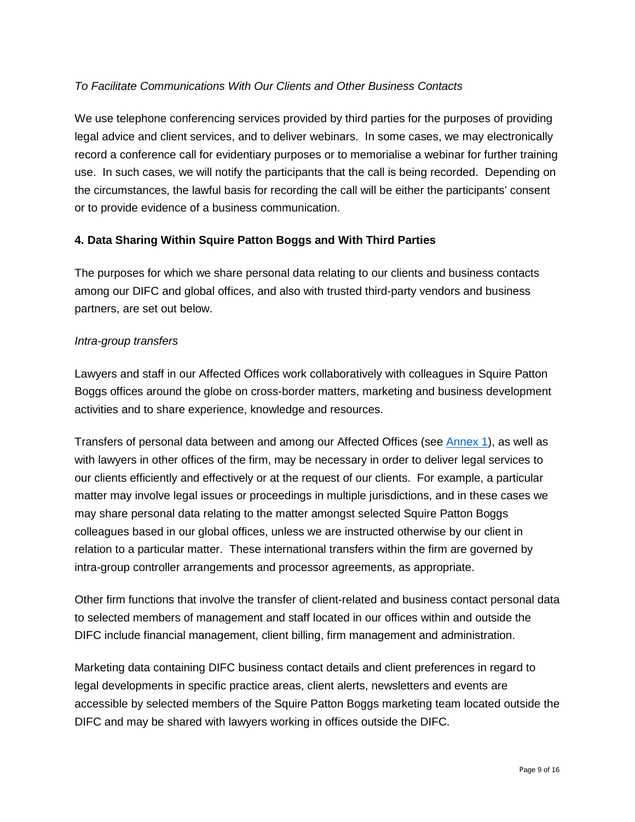## *To Facilitate Communications With Our Clients and Other Business Contacts*

We use telephone conferencing services provided by third parties for the purposes of providing legal advice and client services, and to deliver webinars. In some cases, we may electronically record a conference call for evidentiary purposes or to memorialise a webinar for further training use. In such cases, we will notify the participants that the call is being recorded. Depending on the circumstances, the lawful basis for recording the call will be either the participants' consent or to provide evidence of a business communication.

#### <span id="page-8-0"></span>**4. Data Sharing Within Squire Patton Boggs and With Third Parties**

The purposes for which we share personal data relating to our clients and business contacts among our DIFC and global offices, and also with trusted third-party vendors and business partners, are set out below.

#### *Intra-group transfers*

Lawyers and staff in our Affected Offices work collaboratively with colleagues in Squire Patton Boggs offices around the globe on cross-border matters, marketing and business development activities and to share experience, knowledge and resources.

Transfers of personal data between and among our Affected Offices (see [Annex 1\)](#page-14-0), as well as with lawyers in other offices of the firm, may be necessary in order to deliver legal services to our clients efficiently and effectively or at the request of our clients. For example, a particular matter may involve legal issues or proceedings in multiple jurisdictions, and in these cases we may share personal data relating to the matter amongst selected Squire Patton Boggs colleagues based in our global offices, unless we are instructed otherwise by our client in relation to a particular matter. These international transfers within the firm are governed by intra-group controller arrangements and processor agreements, as appropriate.

Other firm functions that involve the transfer of client-related and business contact personal data to selected members of management and staff located in our offices within and outside the DIFC include financial management, client billing, firm management and administration.

Marketing data containing DIFC business contact details and client preferences in regard to legal developments in specific practice areas, client alerts, newsletters and events are accessible by selected members of the Squire Patton Boggs marketing team located outside the DIFC and may be shared with lawyers working in offices outside the DIFC.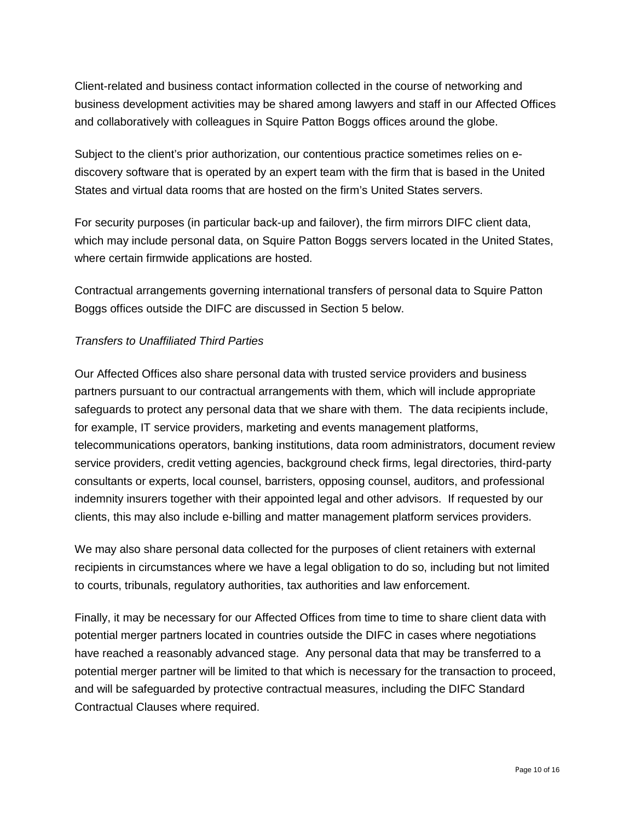Client-related and business contact information collected in the course of networking and business development activities may be shared among lawyers and staff in our Affected Offices and collaboratively with colleagues in Squire Patton Boggs offices around the globe.

Subject to the client's prior authorization, our contentious practice sometimes relies on ediscovery software that is operated by an expert team with the firm that is based in the United States and virtual data rooms that are hosted on the firm's United States servers.

For security purposes (in particular back-up and failover), the firm mirrors DIFC client data, which may include personal data, on Squire Patton Boggs servers located in the United States, where certain firmwide applications are hosted.

Contractual arrangements governing international transfers of personal data to Squire Patton Boggs offices outside the DIFC are discussed in Section 5 below.

#### *Transfers to Unaffiliated Third Parties*

Our Affected Offices also share personal data with trusted service providers and business partners pursuant to our contractual arrangements with them, which will include appropriate safeguards to protect any personal data that we share with them. The data recipients include, for example, IT service providers, marketing and events management platforms, telecommunications operators, banking institutions, data room administrators, document review service providers, credit vetting agencies, background check firms, legal directories, third-party consultants or experts, local counsel, barristers, opposing counsel, auditors, and professional indemnity insurers together with their appointed legal and other advisors. If requested by our clients, this may also include e-billing and matter management platform services providers.

We may also share personal data collected for the purposes of client retainers with external recipients in circumstances where we have a legal obligation to do so, including but not limited to courts, tribunals, regulatory authorities, tax authorities and law enforcement.

Finally, it may be necessary for our Affected Offices from time to time to share client data with potential merger partners located in countries outside the DIFC in cases where negotiations have reached a reasonably advanced stage. Any personal data that may be transferred to a potential merger partner will be limited to that which is necessary for the transaction to proceed, and will be safeguarded by protective contractual measures, including the DIFC Standard Contractual Clauses where required.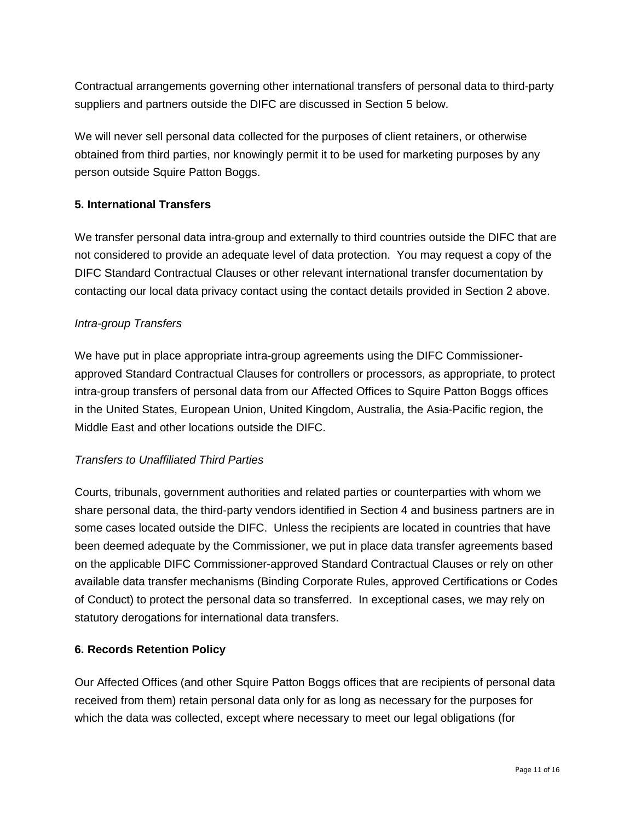Contractual arrangements governing other international transfers of personal data to third-party suppliers and partners outside the DIFC are discussed in Section 5 below.

We will never sell personal data collected for the purposes of client retainers, or otherwise obtained from third parties, nor knowingly permit it to be used for marketing purposes by any person outside Squire Patton Boggs.

## <span id="page-10-0"></span>**5. International Transfers**

We transfer personal data intra-group and externally to third countries outside the DIFC that are not considered to provide an adequate level of data protection. You may request a copy of the DIFC Standard Contractual Clauses or other relevant international transfer documentation by contacting our local data privacy contact using the contact details provided in Section [2](#page-1-2) above.

#### *Intra-group Transfers*

We have put in place appropriate intra-group agreements using the DIFC Commissionerapproved Standard Contractual Clauses for controllers or processors, as appropriate, to protect intra-group transfers of personal data from our Affected Offices to Squire Patton Boggs offices in the United States, European Union, United Kingdom, Australia, the Asia-Pacific region, the Middle East and other locations outside the DIFC.

#### *Transfers to Unaffiliated Third Parties*

Courts, tribunals, government authorities and related parties or counterparties with whom we share personal data, the third-party vendors identified in Section [4](#page-1-3) and business partners are in some cases located outside the DIFC. Unless the recipients are located in countries that have been deemed adequate by the Commissioner, we put in place data transfer agreements based on the applicable DIFC Commissioner-approved Standard Contractual Clauses or rely on other available data transfer mechanisms (Binding Corporate Rules, approved Certifications or Codes of Conduct) to protect the personal data so transferred. In exceptional cases, we may rely on statutory derogations for international data transfers.

#### <span id="page-10-1"></span>**6. Records Retention Policy**

Our Affected Offices (and other Squire Patton Boggs offices that are recipients of personal data received from them) retain personal data only for as long as necessary for the purposes for which the data was collected, except where necessary to meet our legal obligations (for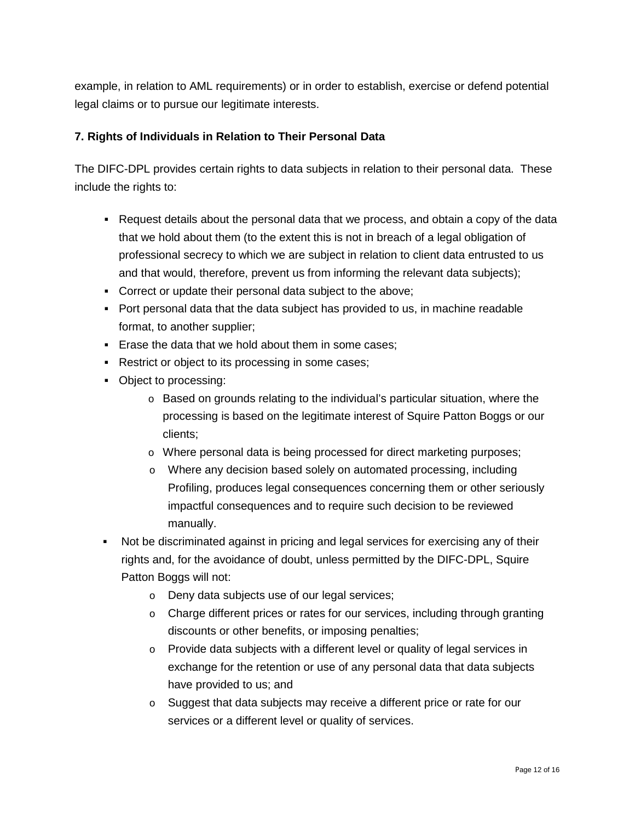example, in relation to AML requirements) or in order to establish, exercise or defend potential legal claims or to pursue our legitimate interests.

## <span id="page-11-0"></span>**7. Rights of Individuals in Relation to Their Personal Data**

The DIFC-DPL provides certain rights to data subjects in relation to their personal data. These include the rights to:

- Request details about the personal data that we process, and obtain a copy of the data that we hold about them (to the extent this is not in breach of a legal obligation of professional secrecy to which we are subject in relation to client data entrusted to us and that would, therefore, prevent us from informing the relevant data subjects);
- Correct or update their personal data subject to the above;
- Port personal data that the data subject has provided to us, in machine readable format, to another supplier;
- **Erase the data that we hold about them in some cases:**
- Restrict or object to its processing in some cases;
- Object to processing:
	- o Based on grounds relating to the individual's particular situation, where the processing is based on the legitimate interest of Squire Patton Boggs or our clients;
	- o Where personal data is being processed for direct marketing purposes;
	- o Where any decision based solely on automated processing, including Profiling, produces legal consequences concerning them or other seriously impactful consequences and to require such decision to be reviewed manually.
- Not be discriminated against in pricing and legal services for exercising any of their rights and, for the avoidance of doubt, unless permitted by the DIFC-DPL, Squire Patton Boggs will not:
	- o Deny data subjects use of our legal services;
	- $\circ$  Charge different prices or rates for our services, including through granting discounts or other benefits, or imposing penalties;
	- $\circ$  Provide data subjects with a different level or quality of legal services in exchange for the retention or use of any personal data that data subjects have provided to us; and
	- o Suggest that data subjects may receive a different price or rate for our services or a different level or quality of services.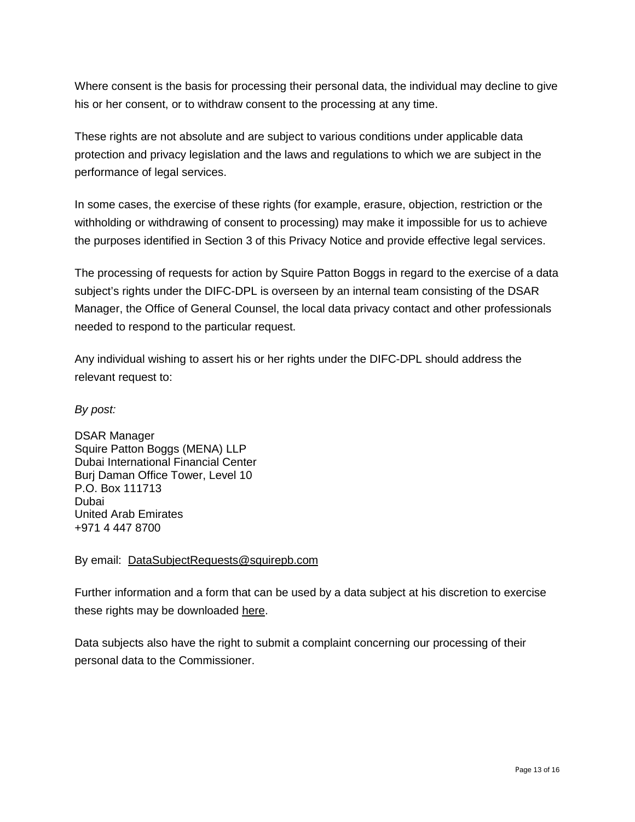Where consent is the basis for processing their personal data, the individual may decline to give his or her consent, or to withdraw consent to the processing at any time.

These rights are not absolute and are subject to various conditions under applicable data protection and privacy legislation and the laws and regulations to which we are subject in the performance of legal services.

In some cases, the exercise of these rights (for example, erasure, objection, restriction or the withholding or withdrawing of consent to processing) may make it impossible for us to achieve the purposes identified in Section [3](#page-1-4) of this Privacy Notice and provide effective legal services.

The processing of requests for action by Squire Patton Boggs in regard to the exercise of a data subject's rights under the DIFC-DPL is overseen by an internal team consisting of the DSAR Manager, the Office of General Counsel, the local data privacy contact and other professionals needed to respond to the particular request.

Any individual wishing to assert his or her rights under the DIFC-DPL should address the relevant request to:

*By post:* 

DSAR Manager Squire Patton Boggs (MENA) LLP Dubai International Financial Center Burj Daman Office Tower, Level 10 P.O. Box 111713 Dubai United Arab Emirates +971 4 447 8700

By email: [DataSubjectRequests@squirepb.com](javascript:writeEmail()

Further information and a form that can be used by a data subject at his discretion to exercise these rights may be downloaded [here.](https://squirepattonboggs-admin.onistaged.com/en/general-content/dsar1)

Data subjects also have the right to submit a complaint concerning our processing of their personal data to the Commissioner.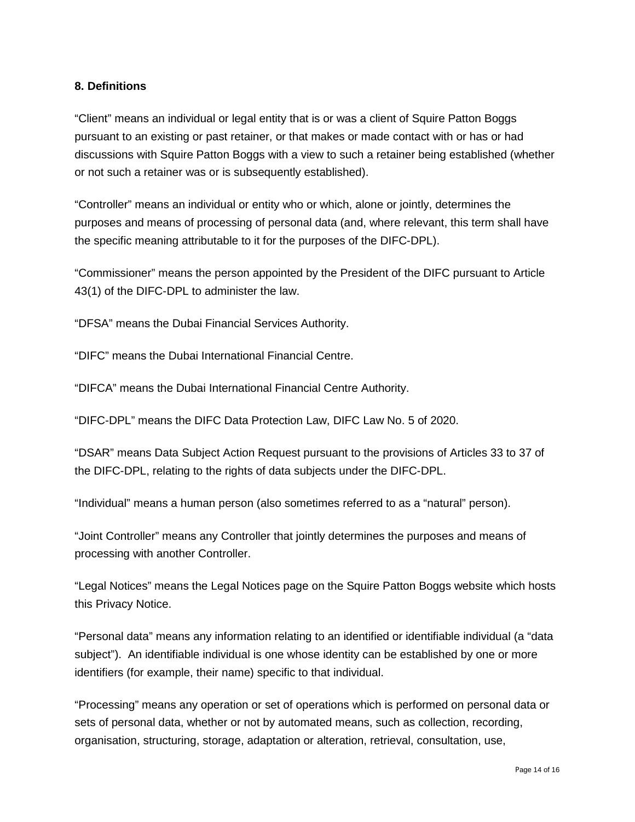#### <span id="page-13-0"></span>**8. Definitions**

"Client" means an individual or legal entity that is or was a client of Squire Patton Boggs pursuant to an existing or past retainer, or that makes or made contact with or has or had discussions with Squire Patton Boggs with a view to such a retainer being established (whether or not such a retainer was or is subsequently established).

"Controller" means an individual or entity who or which, alone or jointly, determines the purposes and means of processing of personal data (and, where relevant, this term shall have the specific meaning attributable to it for the purposes of the DIFC-DPL).

"Commissioner" means the person appointed by the President of the DIFC pursuant to Article 43(1) of the DIFC-DPL to administer the law.

"DFSA" means the Dubai Financial Services Authority.

"DIFC" means the Dubai International Financial Centre.

"DIFCA" means the Dubai International Financial Centre Authority.

"DIFC-DPL" means the DIFC Data Protection Law, DIFC Law No. 5 of 2020.

"DSAR" means Data Subject Action Request pursuant to the provisions of Articles 33 to 37 of the DIFC-DPL, relating to the rights of data subjects under the DIFC-DPL.

"Individual" means a human person (also sometimes referred to as a "natural" person).

"Joint Controller" means any Controller that jointly determines the purposes and means of processing with another Controller.

"Legal Notices" means the Legal Notices page on the Squire Patton Boggs website which hosts this Privacy Notice.

"Personal data" means any information relating to an identified or identifiable individual (a "data subject"). An identifiable individual is one whose identity can be established by one or more identifiers (for example, their name) specific to that individual.

"Processing" means any operation or set of operations which is performed on personal data or sets of personal data, whether or not by automated means, such as collection, recording, organisation, structuring, storage, adaptation or alteration, retrieval, consultation, use,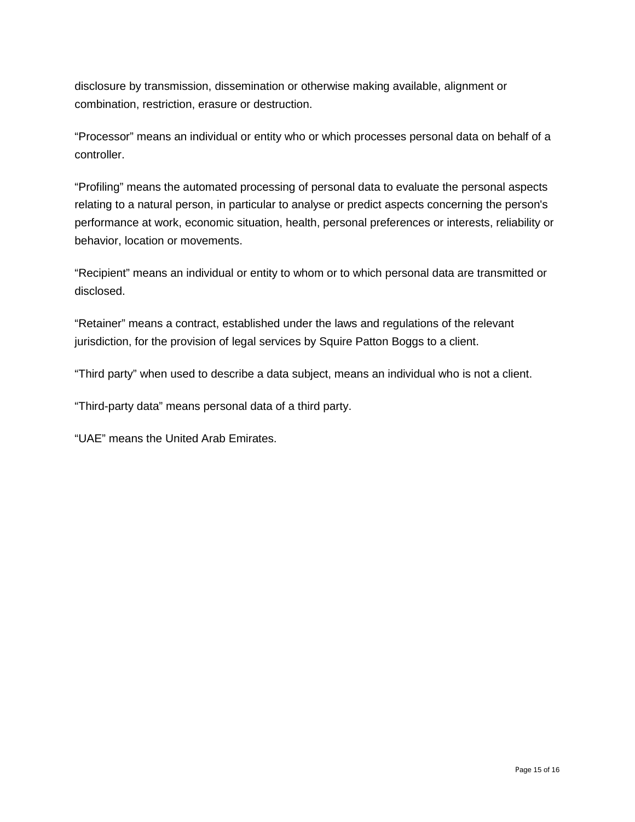disclosure by transmission, dissemination or otherwise making available, alignment or combination, restriction, erasure or destruction.

"Processor" means an individual or entity who or which processes personal data on behalf of a controller.

"Profiling" means the automated processing of personal data to evaluate the personal aspects relating to a natural person, in particular to analyse or predict aspects concerning the person's performance at work, economic situation, health, personal preferences or interests, reliability or behavior, location or movements.

"Recipient" means an individual or entity to whom or to which personal data are transmitted or disclosed.

"Retainer" means a contract, established under the laws and regulations of the relevant jurisdiction, for the provision of legal services by Squire Patton Boggs to a client.

"Third party" when used to describe a data subject, means an individual who is not a client.

"Third-party data" means personal data of a third party.

<span id="page-14-0"></span>"UAE" means the United Arab Emirates.